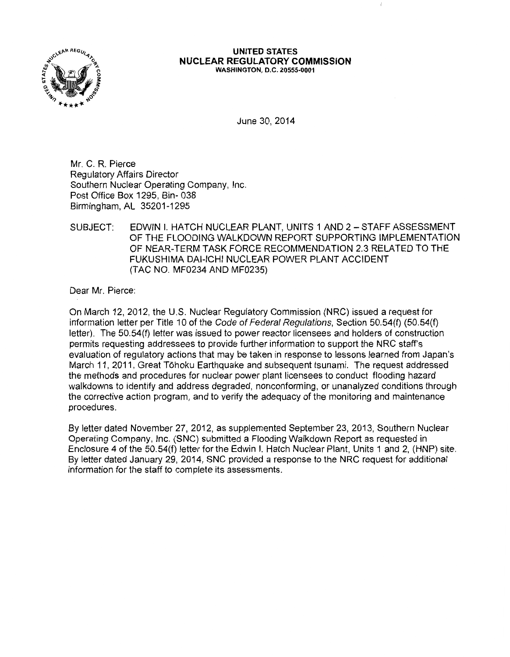

#### **UNITED STATES NUCLEAR REGULATORY COMMISSION**  WASHINGTON, D.C. 20555-0001

June 30, 2014

Mr. C. R. Pierce Regulatory Affairs Director Southern Nuclear Operating Company, Inc. Post Office Box 1295, Bin- 038 Birmingham, AL 35201-1295

SUBJECT: EDWIN I. HATCH NUCLEAR PLANT, UNITS 1 AND 2- STAFF ASSESSMENT OF THE FLOODING WALKDOWN REPORT SUPPORTING IMPLEMENTATION OF NEAR-TERM TASK FORCE RECOMMENDATION 2.3 RELATED TO THE FUKUSHIMA DAI-ICHI NUCLEAR POWER PLANT ACCIDENT (TAC NO. MF0234 AND MF0235)

Dear Mr. Pierce:

On March 12, 2012, the U.S. Nuclear Regulatory Commission (NRC) issued a request for information letter per Title 10 of the Code of Federal Regulations, Section 50.54(f) (50.54(f) letter). The 50.54(f) letter was issued to power reactor licensees and holders of construction permits requesting addressees to provide further information to support the NRC staff's evaluation of regulatory actions that may be taken in response to lessons learned from Japan's March 11, 2011, Great Tohoku Earthquake and subsequent tsunami. The request addressed the methods and procedures for nuclear power plant licensees to conduct flooding hazard walkdowns to identify and address degraded, nonconforming, or unanalyzed conditions through the corrective action program, and to verify the adequacy of the monitoring and maintenance procedures.

By letter dated November 27, 2012, as supplemented September 23, 2013, Southern Nuclear Operating Company, Inc. (SNC) submitted a Flooding Walkdown Report as requested in Enclosure 4 of the 50.54(f) letter for the Edwin I. Hatch Nuclear Plant, Units 1 and 2, (HNP) site. By letter dated January 29, 2014, SNC provided a response to the NRC request for additional information for the staff to complete its assessments.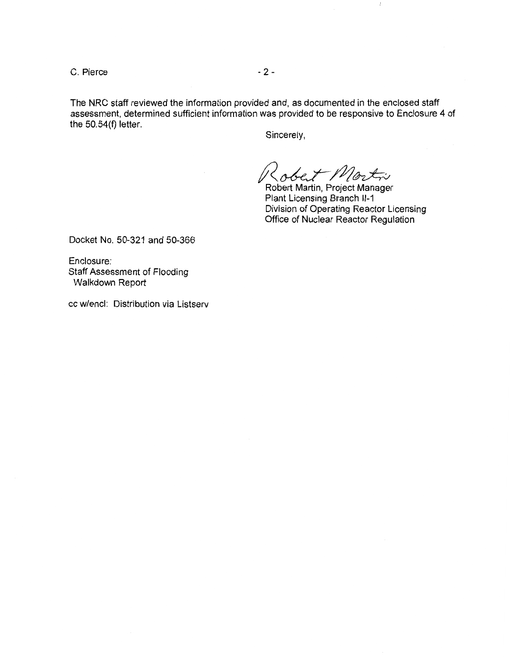$C.$  Pierce  $-2-$ 

The NRC staff reviewed the information provided and, as documented in the enclosed staff assessment, determined sufficient information was provided to be responsive to Enclosure 4 of the 50.54(f) letter.

Sincerely,

Robert Mortin

Plant Licensing Branch 11-1 Division of Operating Reactor Licensing Office of Nuclear Reactor Regulation

 $\mathbb{I}$ 

Docket No. 50-321 and 50-366

Enclosure: Staff Assessment of Flooding Walkdown Report

cc w/encl: Distribution via Listserv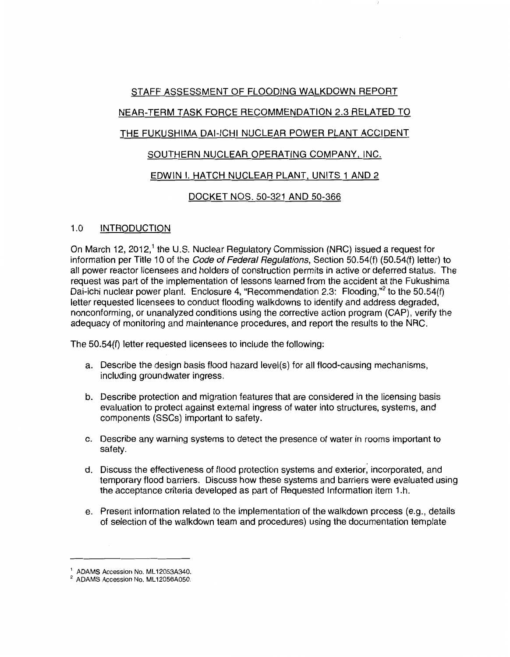# STAFF ASSESSMENT OF FLOODING WALKDOWN REPORT

# NEAR-TERM TASK FORCE RECOMMENDATION 2.3 RELATED TO

# THE FUKUSHIMA DAI-ICHI NUCLEAR POWER PLANT ACCIDENT

# SOUTHERN NUCLEAR OPERATING COMPANY, INC.

# EDWIN I. HATCH NUCLEAR PLANT, UNITS 1 AND 2

# DOCKET NOS. 50-321 AND 50-366

# 1.0 INTRODUCTION

On March 12, 2012,<sup>1</sup> the U.S. Nuclear Regulatory Commission (NRC) issued a request for information per Title 10 of the Code of Federal Regulations, Section 50.54(f) (50.54(f) letter) to all power reactor licensees and holders of construction permits in active or deferred status. The request was part of the implementation of lessons learned from the accident at the Fukushima Dai-ichi nuclear power plant. Enclosure 4, "Recommendation 2.3: Flooding,"<sup>2</sup> to the 50.54(f) letter requested licensees to conduct flooding walkdowns to identify and address degraded, nonconforming, or unanalyzed conditions using the corrective action program (CAP), verify the adequacy of monitoring and maintenance procedures, and report the results to the NRC.

The 50.54(f) letter requested licensees to include the following:

- a. Describe the design basis flood hazard level(s) for all flood-causing mechanisms, including groundwater ingress.
- b. Describe protection and migration features that are considered in the licensing basis evaluation to protect against external ingress of water into structures, systems, and components (SSCs) important to safety.
- c. Describe any warning systems to detect the presence of water in rooms important to safety.
- d. Discuss the effectiveness of flood protection systems and exterior, incorporated, and temporary flood barriers. Discuss how these systems and barriers were evaluated using the acceptance criteria developed as part of Requested Information item 1.h.
- e. Present information related to the implementation of the walkdown process (e.g., details of selection of the walkdown team and procedures) using the documentation template

<sup>&</sup>lt;sup>1</sup> ADAMS Accession No. ML12053A340.

<sup>&</sup>lt;sup>2</sup> ADAMS Accession No. ML12056A050.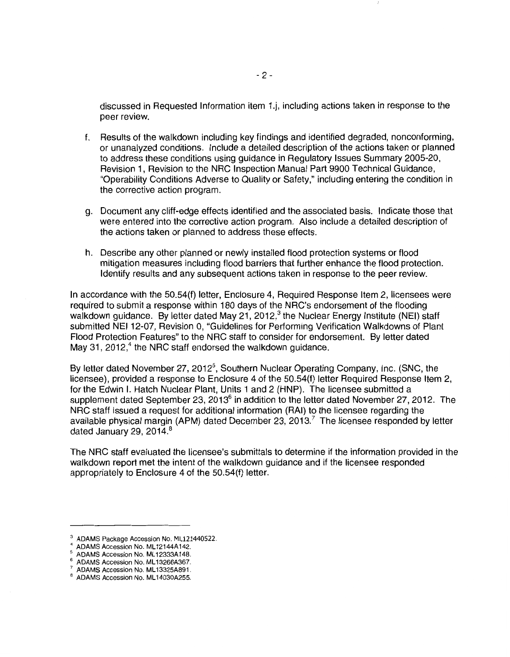discussed in Requested Information item 1.j, including actions taken in response to the peer review.

- f. Results of the walkdown including key findings and identified degraded, nonconforming, or unanalyzed conditions. Include a detailed description of the actions taken or planned to address these conditions using guidance in Regulatory Issues Summary 2005-20, Revision 1, Revision to the NRC Inspection Manual Part 9900 Technical Guidance, "Operability Conditions Adverse to Quality or Safety," including entering the condition in the corrective action program.
- g. Document any cliff-edge effects identified and the associated basis. Indicate those that were entered into the corrective action program. Also include a detailed description of the actions taken or planned to address these effects.
- h. Describe any other planned or newly installed flood protection systems or flood mitigation measures including flood barriers that further enhance the flood protection. Identify results and any subsequent actions taken in response to the peer review.

In accordance with the 50.54(f) letter, Enclosure 4, Required Response Item 2, licensees were required to submit a response within 180 days of the NRC's endorsement of the flooding walkdown guidance. By letter dated May 21, 2012,<sup>3</sup> the Nuclear Energy Institute (NEI) staff submitted NEI 12-07, Revision 0, "Guidelines for Performing Verification Walkdowns of Plant Flood Protection Features" to the NRC staff to consider for endorsement. By letter dated May 31, 2012, $4$  the NRC staff endorsed the walkdown guidance.

By letter dated November 27, 2012<sup>5</sup>, Southern Nuclear Operating Company, Inc. (SNC, the licensee), provided a response to Enclosure 4 of the 50.54(f) letter Required Response Item 2, for the Edwin I. Hatch Nuclear Plant, Units 1 and 2 (HNP). The licensee submitted a supplement dated September 23, 2013 $<sup>6</sup>$  in addition to the letter dated November 27, 2012. The</sup> NRC staff issued a request for additional information (RAI) to the licensee regarding the available physical margin (APM) dated December 23, 2013.<sup>7</sup> The licensee responded by letter dated January 29, 2014.<sup>8</sup>

The NRC staff evaluated the licensee's submittals to determine if the information provided in the walkdown report met the intent of the walkdown guidance and if the licensee responded appropriately to Enclosure 4 of the 50.54(f) letter.

<sup>&</sup>lt;sup>3</sup> ADAMS Package Accession No. ML121440522.

<sup>&</sup>lt;sup>4</sup> ADAMS Accession No. ML12144A142.

<sup>&</sup>lt;sup>5</sup> ADAMS Accession No. ML12333A148.

 $6$  ADAMS Accession No. ML 13266A367.

<sup>&</sup>lt;sup>7</sup> ADAMS Accession No. ML13325A891.

<sup>8</sup> ADAMS Accession No. ML14030A255.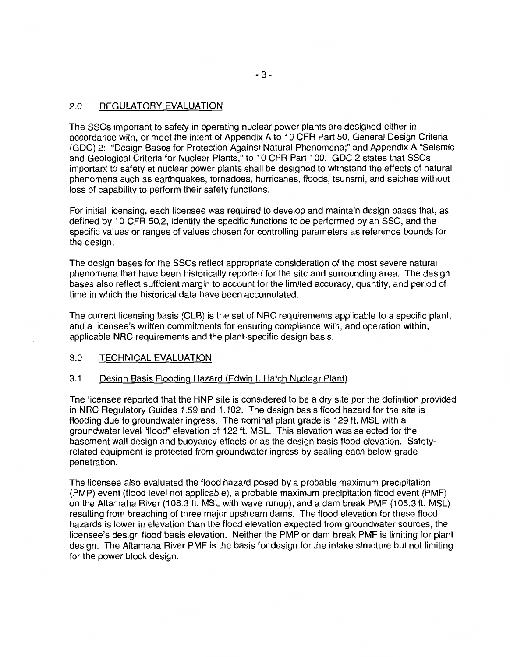# 2.0 REGULATORY EVALUATION

The SSCs important to safety in operating nuclear power plants are designed either in accordance with, or meet the intent of Appendix A to 10 CFR Part 50, General Design Criteria (GDC) 2: "Design Bases for Protection Against Natural Phenomena;" and Appendix A "Seismic and Geological Criteria for Nuclear Plants," to 10 CFR Part 100. GDC 2 states that SSCs important to safety at nuclear power plants shall be designed to withstand the effects of natural phenomena such as earthquakes, tornadoes, hurricanes, floods, tsunami, and seiches without loss of capability to perform their safety functions.

For initial licensing, each licensee was required to develop and maintain design bases that, as defined by 10 CFR 50.2, identify the specific functions to be performed by an SSC, and the specific values or ranges of values chosen for controlling parameters as reference bounds for the design.

The design bases for the SSCs reflect appropriate consideration of the most severe natural phenomena that have been historically reported for the site and surrounding area. The design bases also reflect sufficient margin to account for the limited accuracy, quantity, and period of time in which the historical data have been accumulated.

The current licensing basis (CLB) is the set of NRC requirements applicable to a specific plant, and a licensee's written commitments for ensuring compliance with, and operation within, applicable NRC requirements and the plant-specific design basis.

## 3.0 TECHNICAL EVALUATION

## 3.1 Design Basis Flooding Hazard {Edwin I. Hatch Nuclear Plant)

The licensee reported that the HNP site is considered to be a dry site per the definition provided in NRC Regulatory Guides 1.59 and 1.102. The design basis flood hazard for the site is flooding due to groundwater ingress. The nominal plant grade is 129 ft. MSL with a groundwater level ''flood" elevation of 122 ft. MSL. This elevation was selected for the basement wall design and buoyancy effects or as the design basis flood elevation. Safetyrelated equipment is protected from groundwater ingress by sealing each below-grade penetration.

The licensee also evaluated the flood hazard posed by a probable maximum precipitation (PMP) event (flood level not applicable), a probable maximum precipitation flood event (PMF) on the Altamaha River (108.3 ft. MSL with wave runup), and a dam break PMF (105.3 ft. MSL) resulting from breaching of three major upstream dams. The flood elevation for these flood hazards is lower in elevation than the flood elevation expected from groundwater sources, the licensee's design flood basis elevation. Neither the PMP or dam break PMF is limiting for plant design. The Altamaha River PMF is the basis for design for the intake structure but not limiting for the power block design.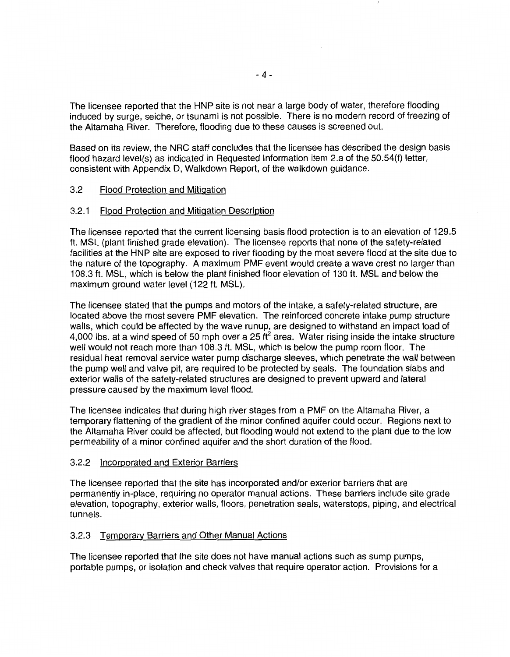The licensee reported that the HNP site is not near a large body of water, therefore flooding induced by surge, seiche, or tsunami is not possible. There is no modern record of freezing of the Altamaha River. Therefore, flooding due to these causes is screened out.

Based on its review, the NRC staff concludes that the licensee has described the design basis flood hazard level(s) as indicated in Requested Information item 2.a of the 50.54(f) letter, consistent with Appendix D, Walkdown Report, of the walkdown guidance.

# 3.2 Flood Protection and Mitigation

## 3.2.1 Flood Protection and Mitigation Description

The licensee reported that the current licensing basis flood protection is to an elevation of 129.5 ft. MSL (plant finished grade elevation). The licensee reports that none of the safety-related facilities at the HNP site are exposed to river flooding by the most severe flood at the site due to the nature of the topography. A maximum PMF event would create a wave crest no larger than 1 08.3 ft. MSL, which is below the plant finished floor elevation of 130 ft. MSL and below the maximum ground water level (122 ft. MSL).

The licensee stated that the pumps and motors of the intake, a safety-related structure, are located above the most severe PMF elevation. The reinforced concrete intake pump structure walls, which could be affected by the wave runup, are designed to withstand an impact load of 4,000 lbs. at a wind speed of 50 mph over a 25 ft<sup>2</sup> area. Water rising inside the intake structure well would not reach more than 108.3 ft. MSL, which is below the pump room floor. The residual heat removal service water pump discharge sleeves, which penetrate the wall between the pump well and valve pit, are required to be protected by seals. The foundation slabs and exterior walls of the safety-related structures are designed to prevent upward and lateral pressure caused by the maximum level flood.

The licensee indicates that during high river stages from a PMF on the Altamaha River, a temporary flattening of the gradient of the minor confined aquifer could occur. Regions next to the Altamaha River could be affected, but flooding would not extend to the plant due to the low permeability of a minor confined aquifer and the short duration of the flood.

## 3.2.2 Incorporated and Exterior Barriers

The licensee reported that the site has incorporated and/or exterior barriers that are permanently in-place, requiring no operator manual actions. These barriers include site grade elevation, topography, exterior walls, floors, penetration seals, waterstops, piping, and electrical tunnels.

## 3.2.3 Temporary Barriers and Other Manual Actions

The licensee reported that the site does not have manual actions such as sump pumps, portable pumps, or isolation and check valves that require operator action. Provisions for a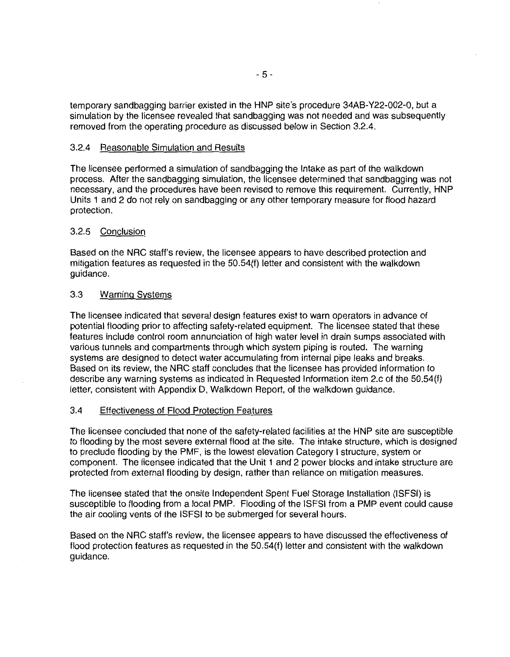temporary sandbagging barrier existed in the HNP site's procedure 34AB-Y22-002-0, but a simulation by the licensee revealed that sandbagging was not needed and was subsequently removed from the operating procedure as discussed below in Section 3.2.4.

#### 3.2.4 Reasonable Simulation and Results

The licensee performed a simulation of sandbagging the Intake as part of the walkdown process. After the sandbagging simulation, the licensee determined that sandbagging was not necessary, and the procedures have been revised to remove this requirement. Currently, HNP Units 1 and 2 do not rely on sandbagging or any other temporary measure for flood hazard protection.

#### 3.2.5 Conclusion

Based on the NRC staff's review, the licensee appears to have described protection and mitigation features as requested in the 50.54(f) letter and consistent with the walkdown guidance.

# 3.3 Warning Systems

The licensee indicated that several design features exist to warn operators in advance of potential flooding prior to affecting safety-related equipment. The licensee stated that these features include control room annunciation of high water level in drain sumps associated with various tunnels and compartments through which system piping is routed. The warning systems are designed to detect water accumulating from internal pipe leaks and breaks. Based on its review, the NRC staff concludes that the licensee has provided information to describe any warning systems as indicated in Requested Information item 2.c of the 50.54(f) letter, consistent with Appendix D, Walkdown Report, of the walkdown guidance.

## 3.4 Effectiveness of Flood Protection Features

The licensee concluded that none of the safety-related facilities at the HNP site are susceptible to flooding by the most severe external flood at the site. The intake structure, which is designed to preclude flooding by the PMF, is the lowest elevation Category I structure, system or component. The licensee indicated that the Unit 1 and 2 power blocks and intake structure are protected from external flooding by design, rather than reliance on mitigation measures.

The licensee stated that the onsite Independent Spent Fuel Storage Installation (ISFSI) is susceptible to flooding from a local PMP. Flooding of the ISFSI from a PMP event could cause the air cooling vents of the ISFSI to be submerged for several hours.

Based on the NRC staff's review, the licensee appears to have discussed the effectiveness of flood protection features as requested in the 50.54(f) letter and consistent with the walkdown guidance.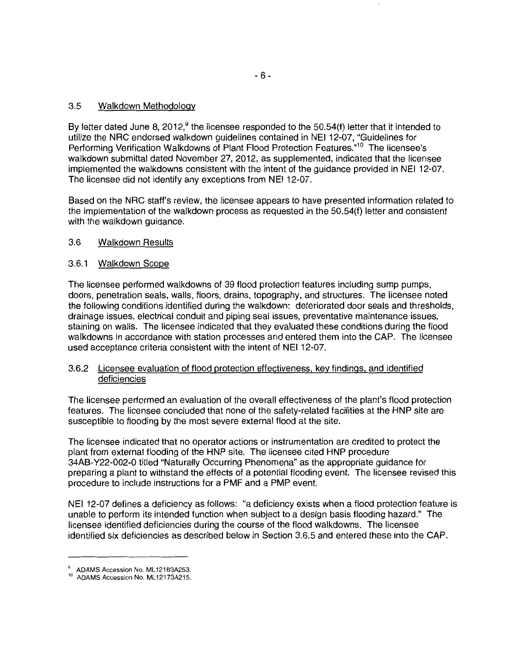# 3.5 Walkdown Methodology

By letter dated June 8, 2012,<sup>9</sup> the licensee responded to the 50.54(f) letter that it intended to utilize the NRC endorsed walkdown guidelines contained in NEI 12-07, "Guidelines for Performing Verification Walkdowns of Plant Flood Protection Features."<sup>10</sup> The licensee's walkdown submittal dated November 27, 2012, as supplemented, indicated that the licensee implemented the walkdowns consistent with the intent of the guidance provided in NEI 12-07. The licensee did not identify any exceptions from NEI 12-07.

Based on the NRC staff's review, the licensee appears to have presented information related to the implementation of the walkdown process as requested in the 50.54(f) letter and consistent with the walkdown guidance.

# 3.6 Walkdown Results

# 3.6.1 Walkdown Scope

The licensee performed walkdowns of 39 flood protection features including sump pumps, doors, penetration seals, walls, floors, drains, topography, and structures. The licensee noted the following conditions identified during the walkdown: deteriorated door seals and thresholds, drainage issues, electrical conduit and piping seal issues, preventative maintenance issues, staining on walls. The licensee indicated that they evaluated these conditions during the flood walkdowns in accordance with station processes and entered them into the CAP. The licensee used acceptance criteria consistent with the intent of NEI 12-07.

# 3.6.2 Licensee evaluation of flood protection effectiveness, key findings, and identified deficiencies

The licensee performed an evaluation of the overall effectiveness of the plant's flood protection features. The licensee concluded that none of the safety-related facilities at the HNP site are susceptible to flooding by the most severe external flood at the site.

The licensee indicated that no operator actions or instrumentation are credited to protect the plant from external flooding of the HNP site. The licensee cited HNP procedure 34AB-Y22-002-0 titled "Naturally Occurring Phenomena" as the appropriate guidance for preparing a plant to withstand the effects of a potential flooding event. The licensee revised this procedure to include instructions for a PMF and a PMP event.

NEI 12-07 defines a deficiency as follows: "a deficiency exists when a flood protection feature is unable to perform its intended function when subject to a design basis flooding hazard." The licensee identified deficiencies during the course of the flood walkdowns. The licensee identified six deficiencies as described below in Section 3.6.5 and entered these into the CAP.

ADAMS Accession No. ML12163A253

<sup>&</sup>lt;sup>10</sup> ADAMS Accession No. ML12173A215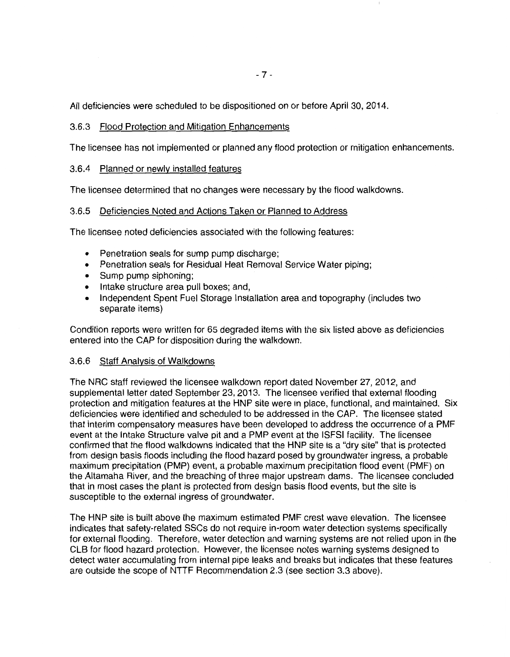All deficiencies were scheduled to be dispositioned on or before April 30, 2014.

#### 3.6.3 Flood Protection and Mitigation Enhancements

The licensee has not implemented or planned any flood protection or mitigation enhancements.

#### 3.6.4 Planned or newly installed features

The licensee determined that no changes were necessary by the flood walkdowns.

#### 3.6.5 Deficiencies Noted and Actions Taken or Planned to Address

The licensee noted deficiencies associated with the following features:

- Penetration seals for sump pump discharge;
- Penetration seals for Residual Heat Removal Service Water piping;
- Sump pump siphoning;
- Intake structure area pull boxes; and,
- Independent Spent Fuel Storage Installation area and topography (includes two separate items)

Condition reports were written for 65 degraded items with the six listed above as deficiencies entered into the CAP for disposition during the walkdown.

#### 3.6.6 Staff Analysis of Walkdowns

The NRC staff reviewed the licensee walkdown report dated November 27, 2012, and supplemental letter dated September 23, 2013. The licensee verified that external flooding protection and mitigation features at the HNP site were in place, functional, and maintained. Six deficiencies were identified and scheduled to be addressed in the CAP. The licensee stated that interim compensatory measures have been developed to address the occurrence of a PMF event at the Intake Structure valve pit and a PMP event at the ISFSI facility. The licensee confirmed that the flood walkdowns indicated that the HNP site is a "dry site" that is protected from design basis floods including the flood hazard posed by groundwater ingress, a probable maximum precipitation (PMP) event, a probable maximum precipitation flood event (PMF) on the Altamaha River, and the breaching of three major upstream dams. The licensee concluded that in most cases the plant is protected from design basis flood events, but the site is susceptible to the external ingress of groundwater.

The HNP site is built above the maximum estimated PMF crest wave elevation. The licensee indicates that safety-related SSCs do not require in-room water detection systems specifically for external flooding. Therefore, water detection and warning systems are not relied upon in the CLB for flood hazard protection. However, the licensee notes warning systems designed to detect water accumulating from internal pipe leaks and breaks but indicates that these features are outside the scope of NTTF Recommendation 2.3 (see section 3.3 above).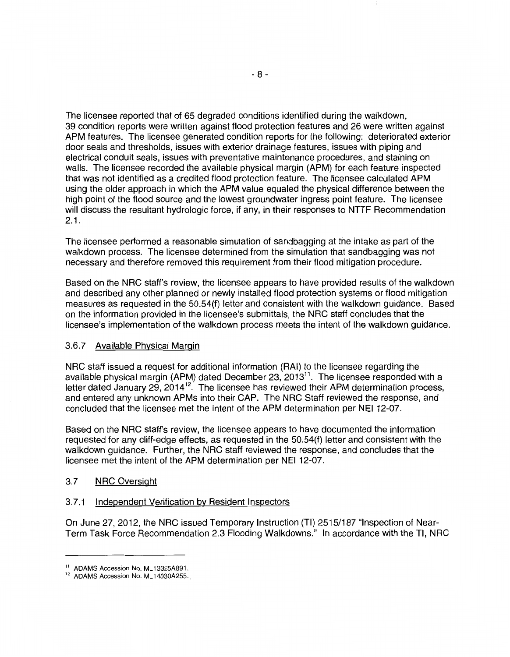The licensee reported that of 65 degraded conditions identified during the walkdown, 39 condition reports were written against flood protection features and 26 were written against APM features. The licensee generated condition reports for the following: deteriorated exterior door seals and thresholds, issues with exterior drainage features, issues with piping and electrical conduit seals, issues with preventative maintenance procedures, and staining on walls. The licensee recorded the available physical margin (APM) for each feature inspected that was not identified as a credited flood protection feature. The licensee calculated APM using the older approach in which the APM value equaled the physical difference between the high point of the flood source and the lowest groundwater ingress point feature. The licensee will discuss the resultant hydrologic force, if any, in their responses to NTTF Recommendation 2.1.

The licensee performed a reasonable simulation of sandbagging at the intake as part of the walkdown process. The licensee determined from the simulation that sandbagging was not necessary and therefore removed this requirement from their flood mitigation procedure.

Based on the NRC staff's review, the licensee appears to have provided results of the walkdown and described any other planned or newly installed flood protection systems or flood mitigation measures as requested in the 50.54(f) letter and consistent with the walkdown guidance. Based on the information provided in the licensee's submittals, the NRC staff concludes that the licensee's implementation of the walkdown process meets the intent of the walkdown guidance.

## 3.6. 7 Available Physical Margin

NRC staff issued a request for additional information (RAI) to the licensee regarding the available physical margin (APM) dated December 23, 2013<sup>11</sup>. The licensee responded with a letter dated January  $29, 2014^{12}$ . The licensee has reviewed their APM determination process, and entered any unknown APMs into their CAP. The NRC Staff reviewed the response, and concluded that the licensee met the intent of the APM determination per NEI 12-07.

Based on the NRC staff's review, the licensee appears to have documented the information requested for any cliff-edge effects, as requested in the 50.54(f) letter and consistent with the walkdown guidance. Further, the NRC staff reviewed the response, and concludes that the licensee met the intent of the APM determination per NEI 12-07.

## 3.7 NRC Oversight

## 3.7.1 Independent Verification by Resident Inspectors

On June 27,2012, the NRC issued Temporary Instruction (TI) 2515/187 "Inspection of Near-Term Task Force Recommendation 2.3 Flooding Walkdowns." In accordance with the Tl, NRC

<sup>&</sup>lt;sup>11</sup> ADAMS Accession No. ML13325A891.

<sup>&</sup>lt;sup>12</sup> ADAMS Accession No. ML14030A255.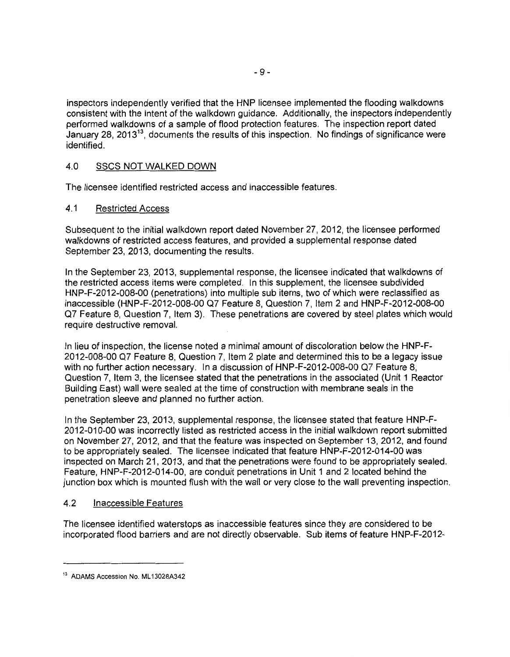inspectors independently verified that the HNP licensee implemented the flooding walkdowns consistent with the intent of the walkdown guidance. Additionally, the inspectors independently performed walkdowns of a sample of flood protection features. The inspection report dated January 28, 2013<sup>13</sup>, documents the results of this inspection. No findings of significance were identified.

# 4.0 SSCS NOT WALKED DOWN

The licensee identified restricted access and inaccessible features.

# 4.1 Restricted Access

Subsequent to the initial walkdown report dated November 27, 2012, the licensee performed walkdowns of restricted access features, and provided a supplemental response dated September 23, 2013, documenting the results.

In the September 23, 2013, supplemental response, the licensee indicated that walkdowns of the restricted access items were completed. In this supplement, the licensee subdivided HNP-F-2012-008-00 (penetrations) into multiple sub items, two of which were reclassified as inaccessible (HNP-F-2012-008-00 Q7 Feature 8, Question 7, Item 2 and HNP-F-2012-008-00 Q7 Feature 8, Question 7, Item 3). These penetrations are covered by steel plates which would require destructive removal.

In lieu of inspection, the license noted a minimal amount of discoloration below the HNP-F-2012-008-00 Q7 Feature 8, Question 7, Item 2 plate and determined this to be a legacy issue with no further action necessary. In a discussion of HNP-F-2012-008-00 Q7 Feature 8, Question 7, Item 3, the licensee stated that the penetrations in the associated (Unit 1 Reactor Building East) wall were sealed at the time of construction with membrane seals in the penetration sleeve and planned no further action.

In the September 23, 2013, supplemental response, the licensee stated that feature HNP-F-2012-01 0-00 was incorrectly listed as restricted access in the initial walkdown report submitted on November 27, 2012, and that the feature was inspected on September 13, 2012, and found to be appropriately sealed. The licensee indicated that feature HNP-F-2012-014-00 was inspected on March 21, 2013, and that the penetrations were found to be appropriately sealed. Feature, HNP-F-2012-014-00, are conduit penetrations in Unit 1 and 2 located behind the junction box which is mounted flush with the wall or very close to the wall preventing inspection.

## 4.2 Inaccessible Features

The licensee identified waterstops as inaccessible features since they are considered to be incorporated flood barriers and are not directly observable. Sub items of feature HNP-F-2012-

<sup>&</sup>lt;sup>13</sup> ADAMS Accession No. ML13028A342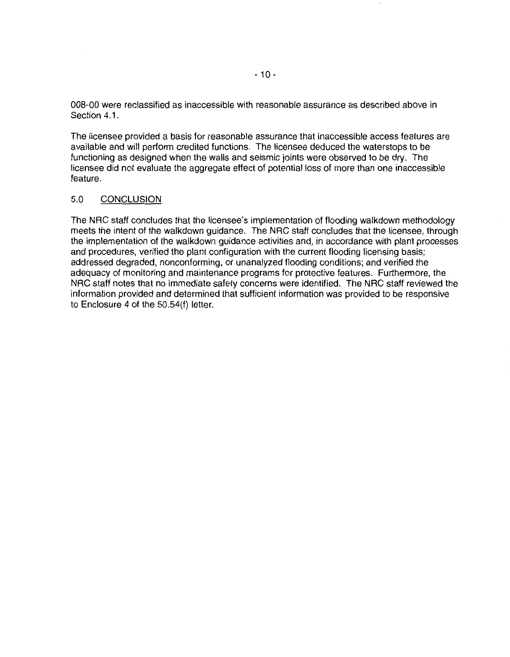008-00 were reclassified as inaccessible with reasonable assurance as described above in Section 4.1.

The licensee provided a basis for reasonable assurance that inaccessible access features are available and will perform credited functions. The licensee deduced the waterstops to be functioning as designed when the walls and seismic joints were observed to be dry. The licensee did not evaluate the aggregate effect of potential loss of more than one inaccessible feature.

# 5.0 CONCLUSION

The NRC staff concludes that the licensee's implementation of flooding walkdown methodology meets the intent of the walkdown guidance. The NRC staff concludes that the licensee, through the implementation of the walkdown guidance activities and, in accordance with plant processes and procedures, verified the plant configuration with the current flooding licensing basis; addressed degraded, nonconforming, or unanalyzed flooding conditions; and verified the adequacy of monitoring and maintenance programs for protective features. Furthermore, the NRC staff notes that no immediate safety concerns were identified. The NRC staff reviewed the information provided and determined that sufficient information was provided to be responsive to Enclosure 4 of the 50.54(f) letter.